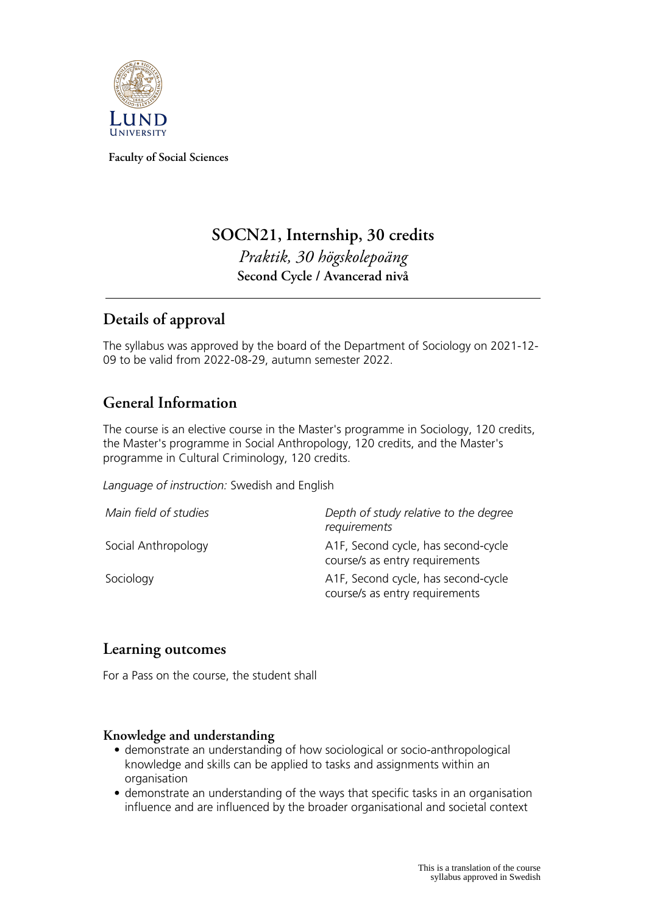

**Faculty of Social Sciences**

# **SOCN21, Internship, 30 credits** *Praktik, 30 högskolepoäng* **Second Cycle / Avancerad nivå**

## **Details of approval**

The syllabus was approved by the board of the Department of Sociology on 2021-12- 09 to be valid from 2022-08-29, autumn semester 2022.

### **General Information**

The course is an elective course in the Master's programme in Sociology, 120 credits, the Master's programme in Social Anthropology, 120 credits, and the Master's programme in Cultural Criminology, 120 credits.

*Language of instruction:* Swedish and English

| Main field of studies | Depth of study relative to the degree<br>requirements                 |
|-----------------------|-----------------------------------------------------------------------|
| Social Anthropology   | A1F, Second cycle, has second-cycle<br>course/s as entry requirements |
| Sociology             | A1F, Second cycle, has second-cycle<br>course/s as entry requirements |

### **Learning outcomes**

For a Pass on the course, the student shall

#### **Knowledge and understanding**

- demonstrate an understanding of how sociological or socio-anthropological knowledge and skills can be applied to tasks and assignments within an organisation
- demonstrate an understanding of the ways that specific tasks in an organisation influence and are influenced by the broader organisational and societal context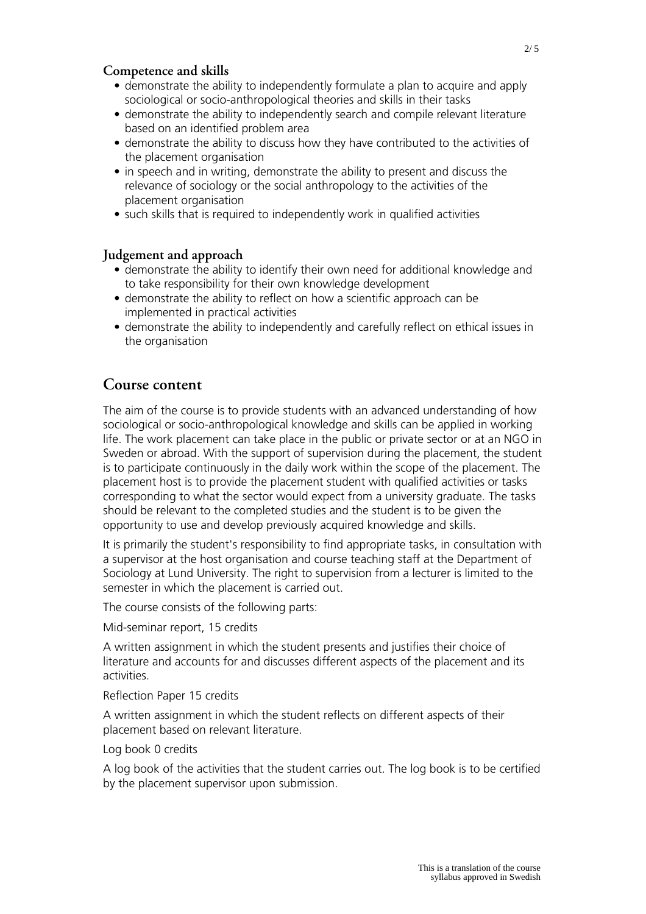#### **Competence and skills**

- demonstrate the ability to independently formulate a plan to acquire and apply sociological or socio-anthropological theories and skills in their tasks
- demonstrate the ability to independently search and compile relevant literature based on an identified problem area
- demonstrate the ability to discuss how they have contributed to the activities of the placement organisation
- in speech and in writing, demonstrate the ability to present and discuss the relevance of sociology or the social anthropology to the activities of the placement organisation
- such skills that is required to independently work in qualified activities

#### **Judgement and approach**

- demonstrate the ability to identify their own need for additional knowledge and to take responsibility for their own knowledge development
- demonstrate the ability to reflect on how a scientific approach can be implemented in practical activities
- demonstrate the ability to independently and carefully reflect on ethical issues in the organisation

### **Course content**

The aim of the course is to provide students with an advanced understanding of how sociological or socio-anthropological knowledge and skills can be applied in working life. The work placement can take place in the public or private sector or at an NGO in Sweden or abroad. With the support of supervision during the placement, the student is to participate continuously in the daily work within the scope of the placement. The placement host is to provide the placement student with qualified activities or tasks corresponding to what the sector would expect from a university graduate. The tasks should be relevant to the completed studies and the student is to be given the opportunity to use and develop previously acquired knowledge and skills.

It is primarily the student's responsibility to find appropriate tasks, in consultation with a supervisor at the host organisation and course teaching staff at the Department of Sociology at Lund University. The right to supervision from a lecturer is limited to the semester in which the placement is carried out.

The course consists of the following parts:

Mid-seminar report, 15 credits

A written assignment in which the student presents and justifies their choice of literature and accounts for and discusses different aspects of the placement and its activities.

Reflection Paper 15 credits

A written assignment in which the student reflects on different aspects of their placement based on relevant literature.

Log book 0 credits

A log book of the activities that the student carries out. The log book is to be certified by the placement supervisor upon submission.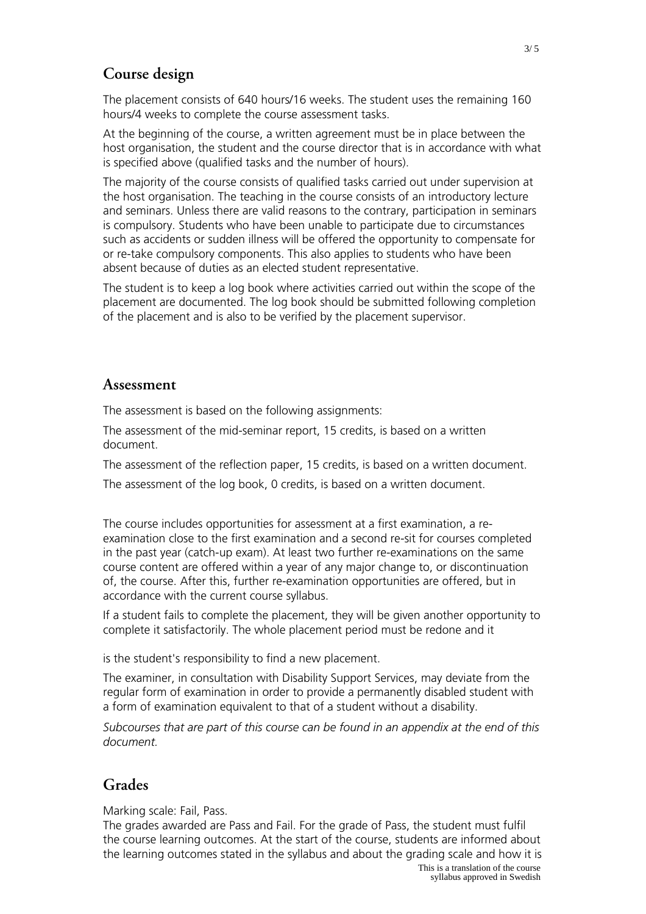### **Course design**

The placement consists of 640 hours/16 weeks. The student uses the remaining 160 hours/4 weeks to complete the course assessment tasks.

At the beginning of the course, a written agreement must be in place between the host organisation, the student and the course director that is in accordance with what is specified above (qualified tasks and the number of hours).

The majority of the course consists of qualified tasks carried out under supervision at the host organisation. The teaching in the course consists of an introductory lecture and seminars. Unless there are valid reasons to the contrary, participation in seminars is compulsory. Students who have been unable to participate due to circumstances such as accidents or sudden illness will be offered the opportunity to compensate for or re-take compulsory components. This also applies to students who have been absent because of duties as an elected student representative.

The student is to keep a log book where activities carried out within the scope of the placement are documented. The log book should be submitted following completion of the placement and is also to be verified by the placement supervisor.

#### **Assessment**

The assessment is based on the following assignments:

The assessment of the mid-seminar report, 15 credits, is based on a written document.

The assessment of the reflection paper, 15 credits, is based on a written document.

The assessment of the log book, 0 credits, is based on a written document.

The course includes opportunities for assessment at a first examination, a reexamination close to the first examination and a second re-sit for courses completed in the past year (catch-up exam). At least two further re-examinations on the same course content are offered within a year of any major change to, or discontinuation of, the course. After this, further re-examination opportunities are offered, but in accordance with the current course syllabus.

If a student fails to complete the placement, they will be given another opportunity to complete it satisfactorily. The whole placement period must be redone and it

is the student's responsibility to find a new placement.

The examiner, in consultation with Disability Support Services, may deviate from the regular form of examination in order to provide a permanently disabled student with a form of examination equivalent to that of a student without a disability.

*Subcourses that are part of this course can be found in an appendix at the end of this document.*

#### **Grades**

Marking scale: Fail, Pass.

The grades awarded are Pass and Fail. For the grade of Pass, the student must fulfil the course learning outcomes. At the start of the course, students are informed about the learning outcomes stated in the syllabus and about the grading scale and how it is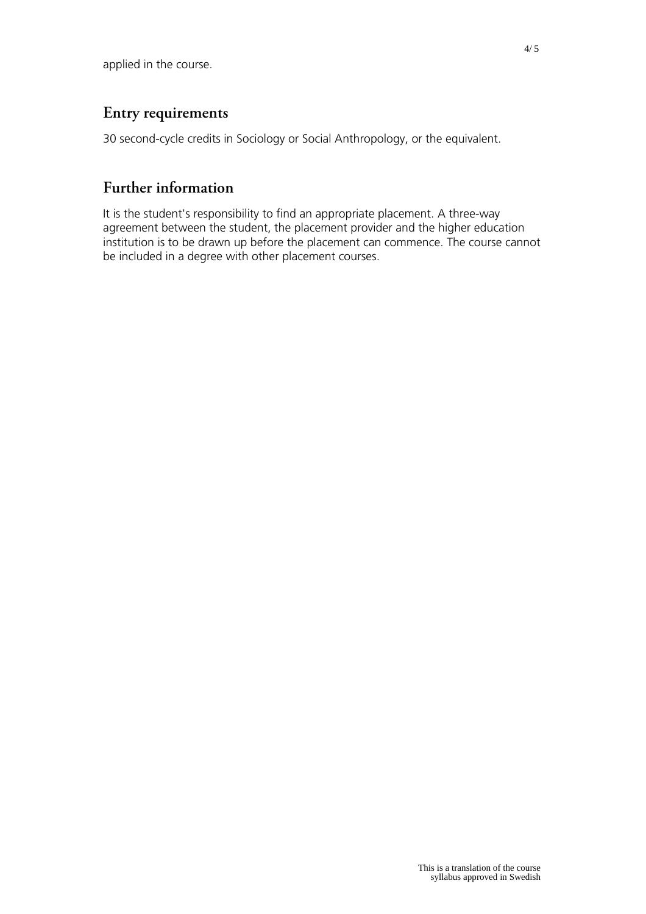### **Entry requirements**

30 second-cycle credits in Sociology or Social Anthropology, or the equivalent.

## **Further information**

It is the student's responsibility to find an appropriate placement. A three-way agreement between the student, the placement provider and the higher education institution is to be drawn up before the placement can commence. The course cannot be included in a degree with other placement courses.